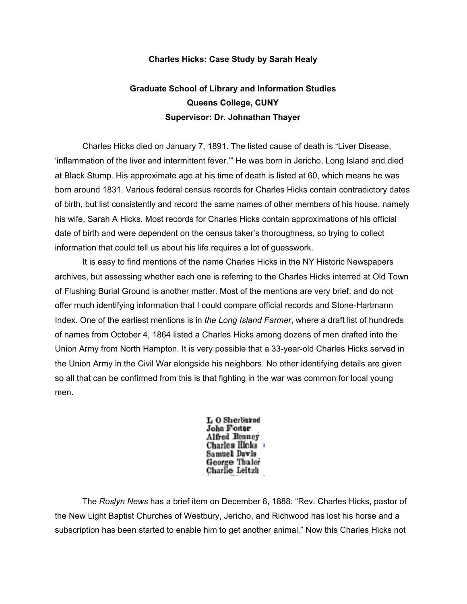## **Charles Hicks: Case Study by Sarah Healy**

## **Graduate School of Library and Information Studies Queens College, CUNY Supervisor: Dr. Johnathan Thayer**

Charles Hicks died on January 7, 1891. The listed cause of death is "Liver Disease, 'inflammation of the liver and intermittent fever.'" He was born in Jericho, Long Island and died at Black Stump. His approximate age at his time of death is listed at 60, which means he was born around 1831. Various federal census records for Charles Hicks contain contradictory dates of birth, but list consistently and record the same names of other members of his house, namely his wife, Sarah A Hicks. Most records for Charles Hicks contain approximations of his official date of birth and were dependent on the census taker's thoroughness, so trying to collect information that could tell us about his life requires a lot of guesswork.

It is easy to find mentions of the name Charles Hicks in the NY Historic Newspapers archives, but assessing whether each one is referring to the Charles Hicks interred at Old Town of Flushing Burial Ground is another matter. Most of the mentions are very brief, and do not offer much identifying information that I could compare official records and Stone-Hartmann Index. One of the earliest mentions is in *the Long Island Farmer*, where a draft list of hundreds of names from October 4, 1864 listed a Charles Hicks among dozens of men drafted into the Union Army from North Hampton. It is very possible that a 33-year-old Charles Hicks served in the Union Army in the Civil War alongside his neighbors. No other identifying details are given so all that can be confirmed from this is that fighting in the war was common for local young men.

> L O Sherbarne John Foster Alfred Benney Charles Hicks **Samuel Davis** George Thaler Charlie Leitzh

The *Roslyn News* has a brief item on December 8, 1888: "Rev. Charles Hicks, pastor of the New Light Baptist Churches of Westbury, Jericho, and Richwood has lost his horse and a subscription has been started to enable him to get another animal." Now this Charles Hicks not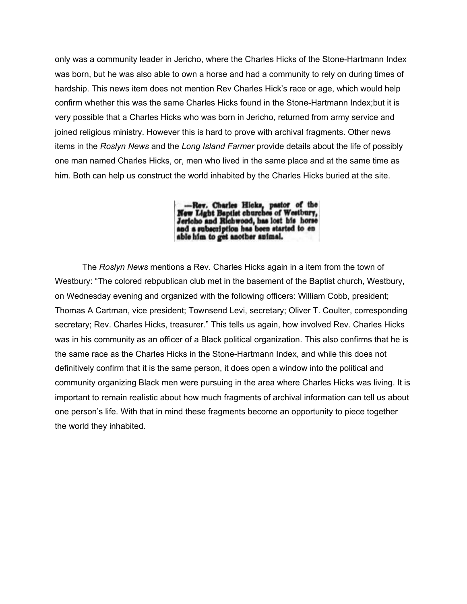only was a community leader in Jericho, where the Charles Hicks of the Stone-Hartmann Index was born, but he was also able to own a horse and had a community to rely on during times of hardship. This news item does not mention Rev Charles Hick's race or age, which would help confirm whether this was the same Charles Hicks found in the Stone-Hartmann Index;but it is very possible that a Charles Hicks who was born in Jericho, returned from army service and joined religious ministry. However this is hard to prove with archival fragments. Other news items in the *Roslyn News* and the *Long Island Farmer* provide details about the life of possibly one man named Charles Hicks, or, men who lived in the same place and at the same time as him. Both can help us construct the world inhabited by the Charles Hicks buried at the site.

--Rev. Charles Hicks, pastor of the New Light Baptlet churches of Westbury, Jericho and Richwood, has lost his horse and a subscription has been started to en able him to get another animal.

The *Roslyn News* mentions a Rev. Charles Hicks again in a item from the town of Westbury: "The colored rebpublican club met in the basement of the Baptist church, Westbury, on Wednesday evening and organized with the following officers: William Cobb, president; Thomas A Cartman, vice president; Townsend Levi, secretary; Oliver T. Coulter, corresponding secretary; Rev. Charles Hicks, treasurer." This tells us again, how involved Rev. Charles Hicks was in his community as an officer of a Black political organization. This also confirms that he is the same race as the Charles Hicks in the Stone-Hartmann Index, and while this does not definitively confirm that it is the same person, it does open a window into the political and community organizing Black men were pursuing in the area where Charles Hicks was living. It is important to remain realistic about how much fragments of archival information can tell us about one person's life. With that in mind these fragments become an opportunity to piece together the world they inhabited.